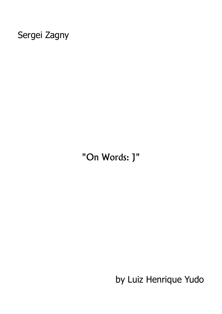## Sergei Zagny

"On Words: J"

by Luiz Henrique Yudo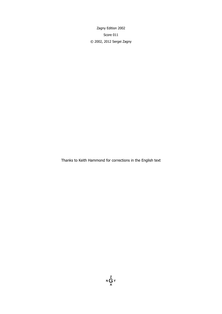Zagny Edition 2002 Score 011 © 2002, 2012 Sergei Zagny

Thanks to Keith Hammond for corrections in the English text

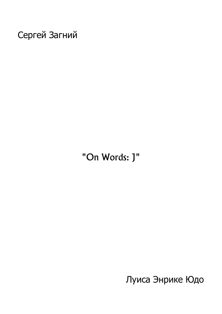Сергей Загний

"On Words: J"

Луиса Энрике Юдо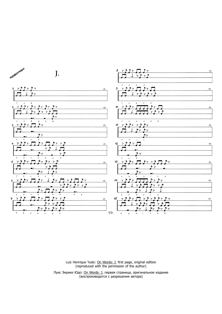

Luiz Henrique Yudo: On Words: J, first page, original edition (reproduced with the permission of the author)

Луис Энрике Юдо: On Words: J, первая страница, оригинальное издание (воспроизводится с разрешения автора)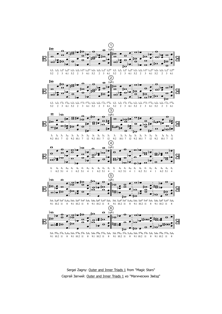

 $9.1\ \ 10.2\ \ 11 \quad \ 8 \quad \ 9.1\ \ 10.2\ \ 11 \quad \ 8 \quad \ 9.1\ \ 10.2\ \ 11 \quad \ 8 \quad \ 9.1\ \ 10.2\ \ 11 \quad \ 8 \quad \ 9.1\ \ 10.2\ \ 11 \quad \ 8 \quad \ 9.1\ \ 10.2\ \ 11 \quad \ 8$ 

Sergei Zagny: Outer and Inner Triads 1 from "Magic Stars" Сергей Загний: Outer and Inner Triads 1 из "Магических Звёзд"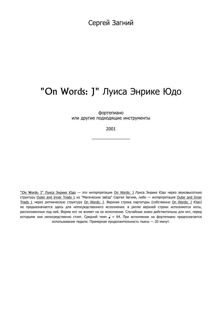Сергей Загний

## "On Words: J" Луиса Энрике Юдо

фортепиано или другие подходящие инструменты

2001

 $\_$ 

"On Words: J" Луиса Энрике Юдо - это интерпретация On Words: J Луиса Энрике Юдо через звуковысотную структуру Outer and Inner Triads 1 из "Магических звёзд" Сергея Загния, либо — интерпретация Outer and Inner Triads 1 через ритмическую структуру On Words: J. Верхняя строка партитуры (собственно On Words: J Юдо) не предназначается здесь для непосредственного исполнения: в ритме верхней строки исполняются ноты, расположенные под ней. Форма нот не влияет на их исполнение. Случайные знаки действительны для нот, перед которыми они непосредственно стоят. Средний темп  $=$  64. При исполнении на фортепиано предполагается использование педали. Примерная продолжительность пьесы — 20 минут.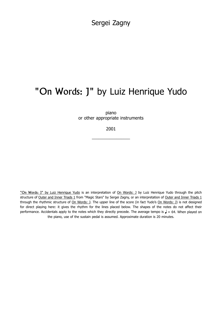Sergei Zagny

## "On Words: J" by Luiz Henrique Yudo

piano or other appropriate instruments

2001

 $\_$ 

"On Words: J" by Luiz Henrique Yudo is an interpretation of On Words: J by Luiz Henrique Yudo through the pitch structure of Outer and Inner Triads 1 from "Magic Stars" by Sergei Zagny, or an interpretation of Outer and Inner Triads 1 through the rhythmic structure of On Words: J. The upper line of the score (in fact Yudo's On Words: J) is not designed for direct playing here: it gives the rhythm for the lines placed below. The shapes of the notes do not affect their performance. Accidentals apply to the notes which they directly precede. The average tempo is  $\sqrt{ } = 64.$  When played on the piano, use of the sustain pedal is assumed. Approximate duration is 20 minutes.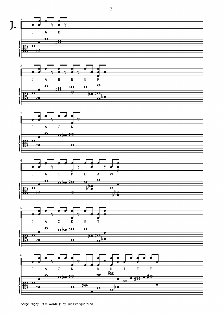

Sergei Zagny : "On Words: J" by Luiz Henrique Yudo

 $\overline{2}$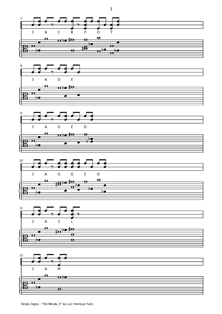











 $\mathbf{3}$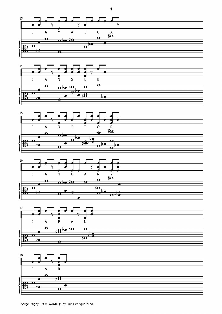

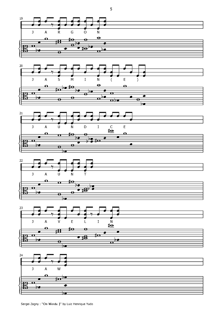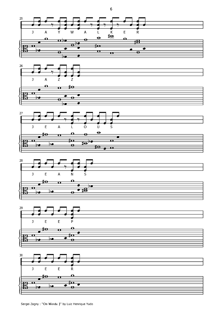











 $\boldsymbol{6}$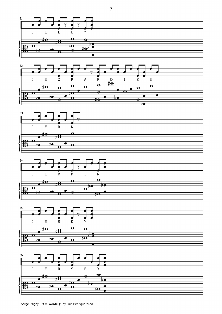

 $\overline{7}$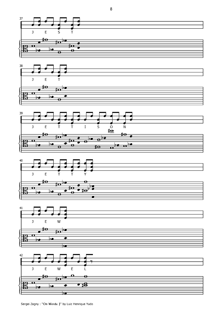







 $\bf 8$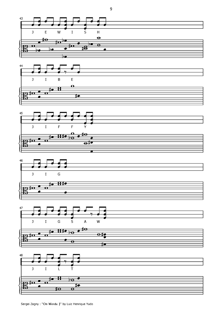









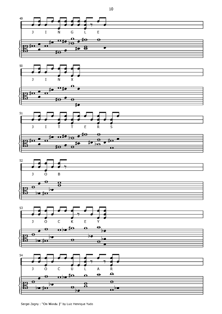





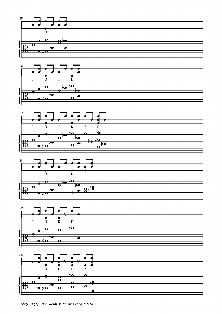

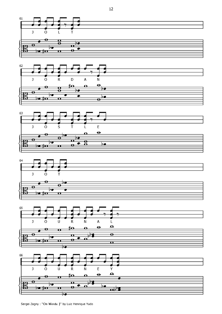

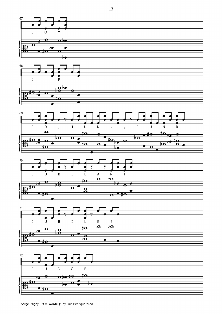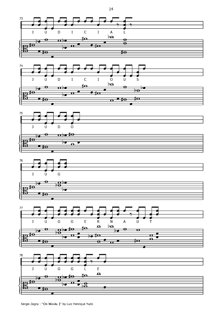





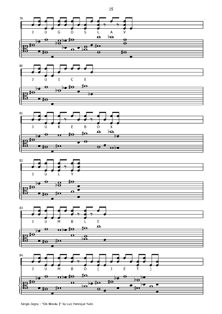

z

 $\bullet$ 

Sergei Zagny : "On Words: J" by Luiz Henrique Yudo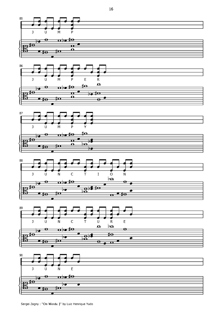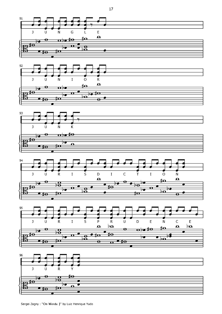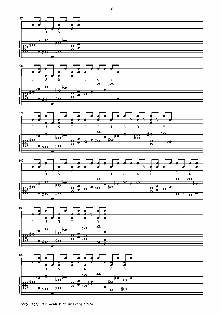